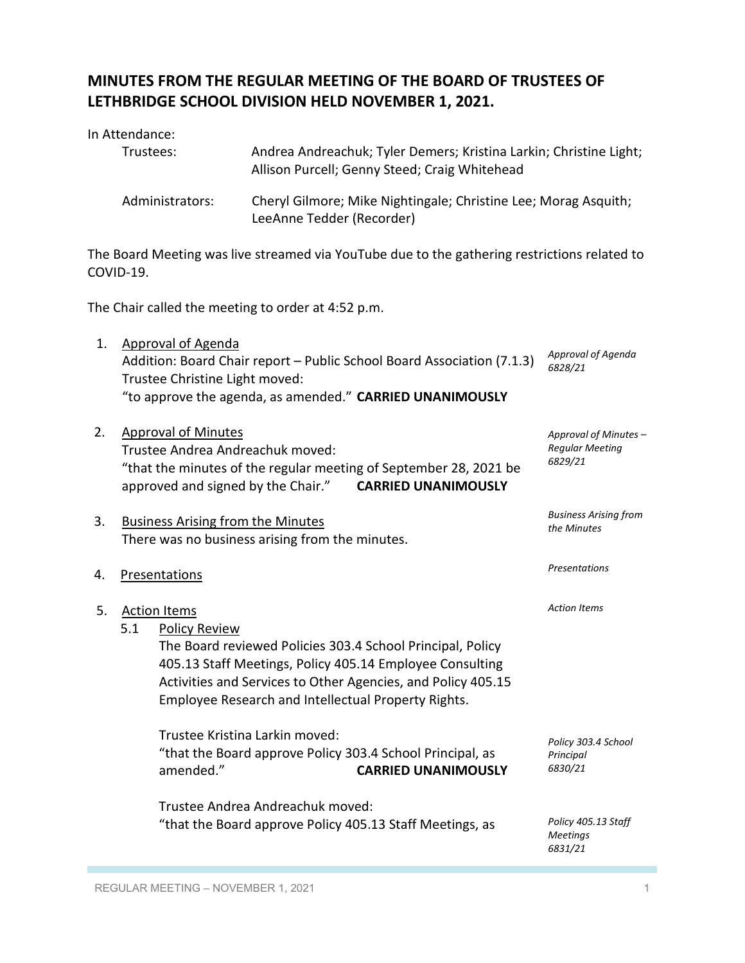## **MINUTES FROM THE REGULAR MEETING OF THE BOARD OF TRUSTEES OF LETHBRIDGE SCHOOL DIVISION HELD NOVEMBER 1, 2021.**

In Attendance:

|    | Trustees:            |                                                             | Andrea Andreachuk; Tyler Demers; Kristina Larkin; Christine Light;<br>Allison Purcell; Genny Steed; Craig Whitehead |                                                                                                                                                                                                                                               |                                                            |  |
|----|----------------------|-------------------------------------------------------------|---------------------------------------------------------------------------------------------------------------------|-----------------------------------------------------------------------------------------------------------------------------------------------------------------------------------------------------------------------------------------------|------------------------------------------------------------|--|
|    |                      | Administrators:                                             | Cheryl Gilmore; Mike Nightingale; Christine Lee; Morag Asquith;                                                     |                                                                                                                                                                                                                                               |                                                            |  |
|    | COVID-19.            |                                                             |                                                                                                                     | The Board Meeting was live streamed via YouTube due to the gathering restrictions related to                                                                                                                                                  |                                                            |  |
|    |                      |                                                             | The Chair called the meeting to order at 4:52 p.m.                                                                  |                                                                                                                                                                                                                                               |                                                            |  |
| 1. |                      | <b>Approval of Agenda</b><br>Trustee Christine Light moved: |                                                                                                                     | Addition: Board Chair report - Public School Board Association (7.1.3)<br>"to approve the agenda, as amended." CARRIED UNANIMOUSLY                                                                                                            | Approval of Agenda<br>6828/21                              |  |
| 2. |                      | <b>Approval of Minutes</b>                                  | Trustee Andrea Andreachuk moved:<br>approved and signed by the Chair."                                              | "that the minutes of the regular meeting of September 28, 2021 be<br><b>CARRIED UNANIMOUSLY</b>                                                                                                                                               | Approval of Minutes -<br><b>Regular Meeting</b><br>6829/21 |  |
| 3. |                      | <b>Business Arising from the Minutes</b>                    | There was no business arising from the minutes.                                                                     |                                                                                                                                                                                                                                               | <b>Business Arising from</b><br>the Minutes                |  |
| 4. | <b>Presentations</b> |                                                             | Presentations                                                                                                       |                                                                                                                                                                                                                                               |                                                            |  |
| 5. | 5.1                  | <b>Action Items</b><br><b>Policy Review</b>                 |                                                                                                                     | The Board reviewed Policies 303.4 School Principal, Policy<br>405.13 Staff Meetings, Policy 405.14 Employee Consulting<br>Activities and Services to Other Agencies, and Policy 405.15<br>Employee Research and Intellectual Property Rights. | <b>Action Items</b>                                        |  |
|    |                      | amended."                                                   | Trustee Kristina Larkin moved:                                                                                      | "that the Board approve Policy 303.4 School Principal, as<br><b>CARRIED UNANIMOUSLY</b>                                                                                                                                                       | Policy 303.4 School<br>Principal<br>6830/21                |  |
|    |                      |                                                             | Trustee Andrea Andreachuk moved:                                                                                    | "that the Board approve Policy 405.13 Staff Meetings, as                                                                                                                                                                                      | Policy 405.13 Staff<br><b>Meetings</b>                     |  |

*6831/21*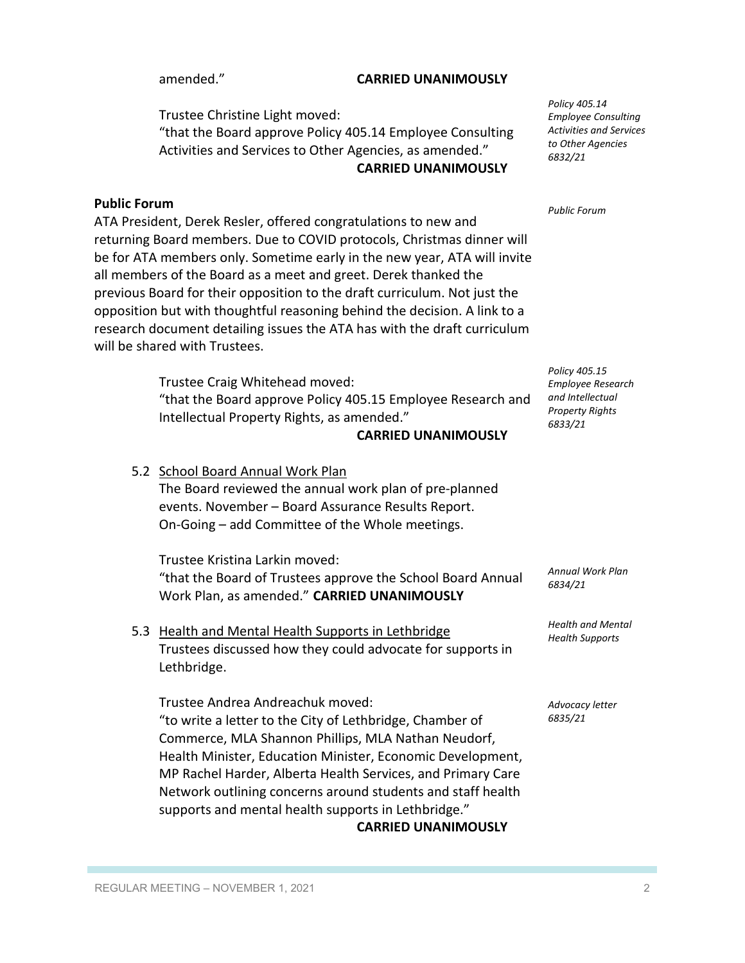## amended." **CARRIED UNANIMOUSLY**

Trustee Christine Light moved: "that the Board approve Policy 405.14 Employee Consulting Activities and Services to Other Agencies, as amended." **CARRIED UNANIMOUSLY**

### **Public Forum**

ATA President, Derek Resler, offered congratulations to new and returning Board members. Due to COVID protocols, Christmas dinner will be for ATA members only. Sometime early in the new year, ATA will invite all members of the Board as a meet and greet. Derek thanked the previous Board for their opposition to the draft curriculum. Not just the opposition but with thoughtful reasoning behind the decision. A link to a research document detailing issues the ATA has with the draft curriculum will be shared with Trustees.

> Trustee Craig Whitehead moved: "that the Board approve Policy 405.15 Employee Research and Intellectual Property Rights, as amended."

### **CARRIED UNANIMOUSLY**

5.2 School Board Annual Work Plan The Board reviewed the annual work plan of pre-planned events. November – Board Assurance Results Report. On-Going – add Committee of the Whole meetings.

Trustee Kristina Larkin moved: "that the Board of Trustees approve the School Board Annual Work Plan, as amended." **CARRIED UNANIMOUSLY**

5.3 Health and Mental Health Supports in Lethbridge Trustees discussed how they could advocate for supports in Lethbridge.

Trustee Andrea Andreachuk moved: "to write a letter to the City of Lethbridge, Chamber of Commerce, MLA Shannon Phillips, MLA Nathan Neudorf, Health Minister, Education Minister, Economic Development, MP Rachel Harder, Alberta Health Services, and Primary Care Network outlining concerns around students and staff health supports and mental health supports in Lethbridge."

**CARRIED UNANIMOUSLY**

*Policy 405.14 Employee Consulting Activities and Services to Other Agencies 6832/21*

*Public Forum*

*Policy 405.15 Employee Research and Intellectual Property Rights 6833/21*

*Annual Work Plan 6834/21*

*Health and Mental Health Supports*

*Advocacy letter 6835/21*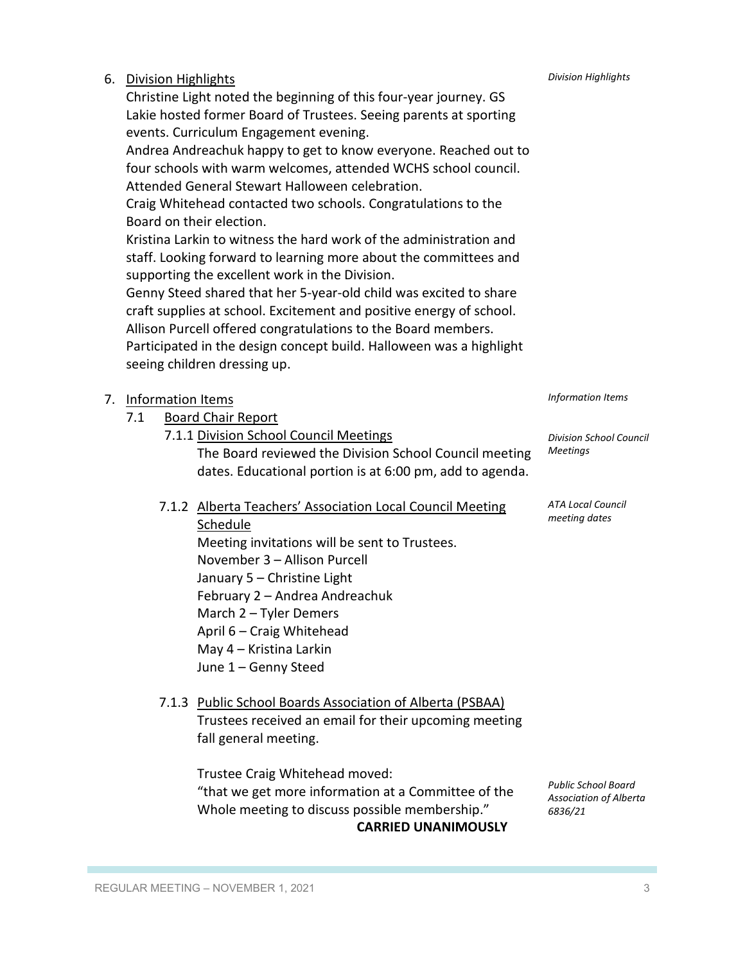| June 1 - Genny Steed                                                                                                                                                  |                                                                        |
|-----------------------------------------------------------------------------------------------------------------------------------------------------------------------|------------------------------------------------------------------------|
| 7.1.3 Public School Boards Association of Alberta (PSBAA)<br>Trustees received an email for their upcoming meeting<br>fall general meeting.                           |                                                                        |
| Trustee Craig Whitehead moved:<br>"that we get more information at a Committee of the<br>Whole meeting to discuss possible membership."<br><b>CARRIED UNANIMOUSLY</b> | <b>Public School Board</b><br><b>Association of Alberta</b><br>6836/21 |
| REGULAR MEETING - NOVEMBER 1, 2021                                                                                                                                    | 3                                                                      |

## January 5 – Christine Light February 2 – Andrea Andreachuk March 2 – Tyler Demers April 6 – Craig Whitehead May 4 – Kristina Larkin

7.1.2 Alberta Teachers' Association Local Council Meeting Schedule Meeting invitations will be sent to Trustees. November 3 – Allison Purcell

The Board reviewed the Division School Council meeting dates. Educational portion is at 6:00 pm, add to agenda.

7. Information Items

# Participated in the design concept build. Halloween was a highlight seeing children dressing up.

Board on their election.

6. Division Highlights

- 
- -
	-
	-
	-
	-
	-
	-
	-
	-
	- 7.1 Board Chair Report

events. Curriculum Engagement evening.

Attended General Stewart Halloween celebration.

supporting the excellent work in the Division.

- 7.1.1 Division School Council Meetings
- 
- 
- 
- 
- 

Christine Light noted the beginning of this four-year journey. GS Lakie hosted former Board of Trustees. Seeing parents at sporting

Craig Whitehead contacted two schools. Congratulations to the

Kristina Larkin to witness the hard work of the administration and staff. Looking forward to learning more about the committees and

Genny Steed shared that her 5-year-old child was excited to share craft supplies at school. Excitement and positive energy of school. Allison Purcell offered congratulations to the Board members.

Andrea Andreachuk happy to get to know everyone. Reached out to four schools with warm welcomes, attended WCHS school council.

*Information Items*

*Division School Council Meetings*

*ATA Local Council meeting dates*

*Division Highlights*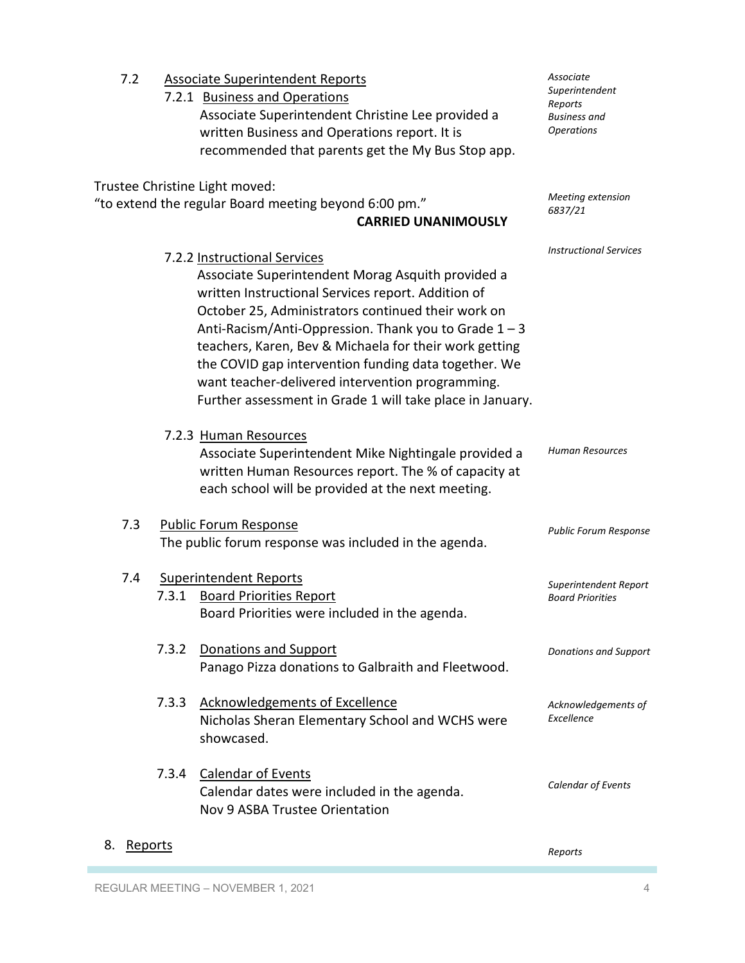| 7.2                  |       | <b>Associate Superintendent Reports</b>                                                                                                                                                                                                                                                                                                                                                                                                                                                     | Associate                                                             |
|----------------------|-------|---------------------------------------------------------------------------------------------------------------------------------------------------------------------------------------------------------------------------------------------------------------------------------------------------------------------------------------------------------------------------------------------------------------------------------------------------------------------------------------------|-----------------------------------------------------------------------|
|                      |       | 7.2.1 Business and Operations<br>Associate Superintendent Christine Lee provided a<br>written Business and Operations report. It is<br>recommended that parents get the My Bus Stop app.                                                                                                                                                                                                                                                                                                    | Superintendent<br>Reports<br><b>Business</b> and<br><b>Operations</b> |
|                      |       | Trustee Christine Light moved:                                                                                                                                                                                                                                                                                                                                                                                                                                                              |                                                                       |
|                      |       | "to extend the regular Board meeting beyond 6:00 pm."<br><b>CARRIED UNANIMOUSLY</b>                                                                                                                                                                                                                                                                                                                                                                                                         | Meeting extension<br>6837/21                                          |
|                      |       | 7.2.2 Instructional Services<br>Associate Superintendent Morag Asquith provided a<br>written Instructional Services report. Addition of<br>October 25, Administrators continued their work on<br>Anti-Racism/Anti-Oppression. Thank you to Grade $1 - 3$<br>teachers, Karen, Bev & Michaela for their work getting<br>the COVID gap intervention funding data together. We<br>want teacher-delivered intervention programming.<br>Further assessment in Grade 1 will take place in January. | <b>Instructional Services</b>                                         |
|                      |       | 7.2.3 Human Resources<br>Associate Superintendent Mike Nightingale provided a<br>written Human Resources report. The % of capacity at<br>each school will be provided at the next meeting.                                                                                                                                                                                                                                                                                                  | <b>Human Resources</b>                                                |
| 7.3                  |       | <b>Public Forum Response</b><br>The public forum response was included in the agenda.                                                                                                                                                                                                                                                                                                                                                                                                       | <b>Public Forum Response</b>                                          |
| 7.4                  | 7.3.1 | <b>Superintendent Reports</b><br><b>Board Priorities Report</b><br>Board Priorities were included in the agenda.                                                                                                                                                                                                                                                                                                                                                                            | Superintendent Report<br><b>Board Priorities</b>                      |
|                      | 7.3.2 | Donations and Support<br>Panago Pizza donations to Galbraith and Fleetwood.                                                                                                                                                                                                                                                                                                                                                                                                                 | <b>Donations and Support</b>                                          |
|                      | 7.3.3 | <b>Acknowledgements of Excellence</b><br>Nicholas Sheran Elementary School and WCHS were<br>showcased.                                                                                                                                                                                                                                                                                                                                                                                      | Acknowledgements of<br>Excellence                                     |
|                      | 7.3.4 | <b>Calendar of Events</b><br>Calendar dates were included in the agenda.<br>Nov 9 ASBA Trustee Orientation                                                                                                                                                                                                                                                                                                                                                                                  | Calendar of Events                                                    |
| 8.<br><u>Reports</u> |       |                                                                                                                                                                                                                                                                                                                                                                                                                                                                                             | Reports                                                               |